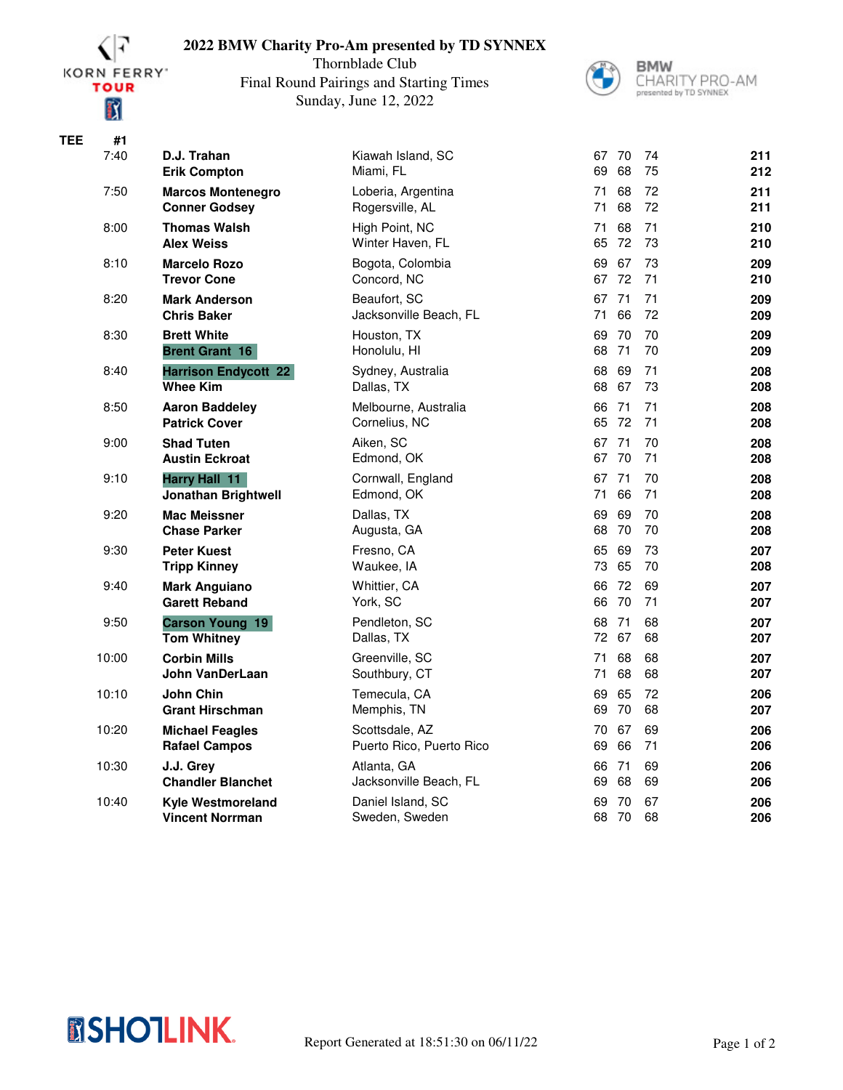

## **2022 BMW Charity Pro-Am presented by TD SYNNEX**

Thornblade Club Final Round Pairings and Starting Times Sunday, June 12, 2022



**BMW** CHARITY PRO-AM

| <b>TEE</b> | #1    |                                                    |                                            |          |             |          |            |
|------------|-------|----------------------------------------------------|--------------------------------------------|----------|-------------|----------|------------|
|            | 7:40  | D.J. Trahan<br><b>Erik Compton</b>                 | Kiawah Island, SC<br>Miami, FL             | 67<br>69 | 70<br>68    | 74<br>75 | 211<br>212 |
|            | 7:50  | <b>Marcos Montenegro</b><br><b>Conner Godsey</b>   | Loberia, Argentina<br>Rogersville, AL      | 71<br>71 | 68<br>68    | 72<br>72 | 211<br>211 |
|            | 8:00  | <b>Thomas Walsh</b><br><b>Alex Weiss</b>           | High Point, NC<br>Winter Haven, FL         | 71<br>65 | 68<br>72    | 71<br>73 | 210<br>210 |
|            | 8:10  | <b>Marcelo Rozo</b><br><b>Trevor Cone</b>          | Bogota, Colombia<br>Concord, NC            | 69<br>67 | 67<br>72    | 73<br>71 | 209<br>210 |
|            | 8:20  | <b>Mark Anderson</b><br><b>Chris Baker</b>         | Beaufort, SC<br>Jacksonville Beach, FL     | 67<br>71 | 71<br>66    | 71<br>72 | 209<br>209 |
|            | 8:30  | <b>Brett White</b><br><b>Brent Grant 16</b>        | Houston, TX<br>Honolulu, HI                | 69<br>68 | 70<br>71    | 70<br>70 | 209<br>209 |
|            | 8:40  | <b>Harrison Endycott 22</b><br><b>Whee Kim</b>     | Sydney, Australia<br>Dallas, TX            | 68<br>68 | 69<br>67    | 71<br>73 | 208<br>208 |
|            | 8:50  | <b>Aaron Baddeley</b><br><b>Patrick Cover</b>      | Melbourne, Australia<br>Cornelius, NC      | 66<br>65 | 71<br>72    | 71<br>71 | 208<br>208 |
|            | 9:00  | <b>Shad Tuten</b><br><b>Austin Eckroat</b>         | Aiken, SC<br>Edmond, OK                    | 67       | 71<br>67 70 | 70<br>71 | 208<br>208 |
|            | 9:10  | Harry Hall 11<br><b>Jonathan Brightwell</b>        | Cornwall, England<br>Edmond, OK            | 67<br>71 | 71<br>66    | 70<br>71 | 208<br>208 |
|            | 9:20  | <b>Mac Meissner</b><br><b>Chase Parker</b>         | Dallas, TX<br>Augusta, GA                  | 69<br>68 | 69<br>70    | 70<br>70 | 208<br>208 |
|            | 9:30  | <b>Peter Kuest</b><br><b>Tripp Kinney</b>          | Fresno, CA<br>Waukee, IA                   | 65<br>73 | 69<br>65    | 73<br>70 | 207<br>208 |
|            | 9:40  | <b>Mark Anguiano</b><br><b>Garett Reband</b>       | Whittier, CA<br>York, SC                   | 66<br>66 | 72<br>70    | 69<br>71 | 207<br>207 |
|            | 9:50  | <b>Carson Young 19</b><br><b>Tom Whitney</b>       | Pendleton, SC<br>Dallas, TX                | 68<br>72 | 71<br>67    | 68<br>68 | 207<br>207 |
|            | 10:00 | <b>Corbin Mills</b><br>John VanDerLaan             | Greenville, SC<br>Southbury, CT            | 71<br>71 | 68<br>68    | 68<br>68 | 207<br>207 |
|            | 10:10 | <b>John Chin</b><br><b>Grant Hirschman</b>         | Temecula, CA<br>Memphis, TN                | 69<br>69 | 65<br>70    | 72<br>68 | 206<br>207 |
|            | 10:20 | <b>Michael Feagles</b><br><b>Rafael Campos</b>     | Scottsdale, AZ<br>Puerto Rico, Puerto Rico | 70<br>69 | 67<br>66    | 69<br>71 | 206<br>206 |
|            | 10:30 | J.J. Grey<br><b>Chandler Blanchet</b>              | Atlanta, GA<br>Jacksonville Beach, FL      | 66<br>69 | 71<br>68    | 69<br>69 | 206<br>206 |
|            | 10:40 | <b>Kyle Westmoreland</b><br><b>Vincent Norrman</b> | Daniel Island, SC<br>Sweden, Sweden        | 69<br>68 | 70<br>70    | 67<br>68 | 206<br>206 |